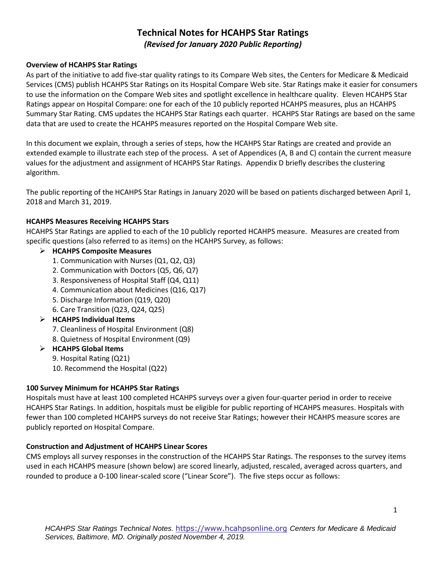# **Technical Notes for HCAHPS Star Ratings** *(Revised for January 2020 Public Reporting)*

### **Overview of HCAHPS Star Ratings**

As part of the initiative to add five-star quality ratings to its Compare Web sites, the Centers for Medicare & Medicaid Services (CMS) publish HCAHPS Star Ratings on its Hospital Compare Web site. Star Ratings make it easier for consumers to use the information on the Compare Web sites and spotlight excellence in healthcare quality. Eleven HCAHPS Star Ratings appear on Hospital Compare: one for each of the 10 publicly reported HCAHPS measures, plus an HCAHPS Summary Star Rating. CMS updates the HCAHPS Star Ratings each quarter. HCAHPS Star Ratings are based on the same data that are used to create the HCAHPS measures reported on the Hospital Compare Web site.

In this document we explain, through a series of steps, how the HCAHPS Star Ratings are created and provide an extended example to illustrate each step of the process. A set of Appendices (A, B and C) contain the current measure values for the adjustment and assignment of HCAHPS Star Ratings. Appendix D briefly describes the clustering algorithm.

The public reporting of the HCAHPS Star Ratings in January 2020 will be based on patients discharged between April 1, 2018 and March 31, 2019.

### **HCAHPS Measures Receiving HCAHPS Stars**

HCAHPS Star Ratings are applied to each of the 10 publicly reported HCAHPS measure. Measures are created from specific questions (also referred to as items) on the HCAHPS Survey, as follows:

## ➢ **HCAHPS Composite Measures**

- 1. Communication with Nurses (Q1, Q2, Q3)
- 2. Communication with Doctors (Q5, Q6, Q7)
- 3. Responsiveness of Hospital Staff (Q4, Q11)
- 4. Communication about Medicines (Q16, Q17)
- 5. Discharge Information (Q19, Q20)
- 6. Care Transition (Q23, Q24, Q25)
- ➢ **HCAHPS Individual Items**
	- 7. Cleanliness of Hospital Environment (Q8)
	- 8. Quietness of Hospital Environment (Q9)
- ➢ **HCAHPS Global Items**
	- 9. Hospital Rating (Q21)
	- 10. Recommend the Hospital (Q22)

#### **100 Survey Minimum for HCAHPS Star Ratings**

Hospitals must have at least 100 completed HCAHPS surveys over a given four-quarter period in order to receive HCAHPS Star Ratings. In addition, hospitals must be eligible for public reporting of HCAHPS measures. Hospitals with fewer than 100 completed HCAHPS surveys do not receive Star Ratings; however their HCAHPS measure scores are publicly reported on Hospital Compare.

#### **Construction and Adjustment of HCAHPS Linear Scores**

CMS employs all survey responses in the construction of the HCAHPS Star Ratings. The responses to the survey items used in each HCAHPS measure (shown below) are scored linearly, adjusted, rescaled, averaged across quarters, and rounded to produce a 0-100 linear-scaled score ("Linear Score"). The five steps occur as follows: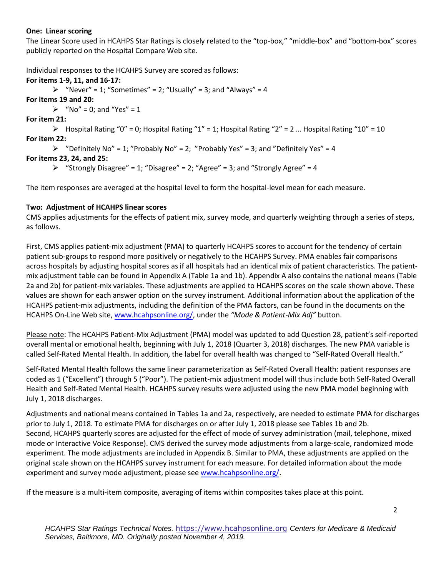#### **One: Linear scoring**

The Linear Score used in HCAHPS Star Ratings is closely related to the "top-box," "middle-box" and "bottom-box" scores publicly reported on the Hospital Compare Web site.

Individual responses to the HCAHPS Survey are scored as follows:

**For items 1-9, 11, and 16-17:**  $\triangleright$  "Never" = 1; "Sometimes" = 2; "Usually" = 3; and "Always" = 4 **For items 19 and 20:**  $\triangleright$  "No" = 0; and "Yes" = 1 **For item 21:**  $\triangleright$  Hospital Rating "0" = 0; Hospital Rating "1" = 1; Hospital Rating "2" = 2 ... Hospital Rating "10" = 10 **For item 22:**  $\triangleright$  "Definitely No" = 1; "Probably No" = 2; "Probably Yes" = 3; and "Definitely Yes" = 4 **For items 23, 24, and 25:**  $\triangleright$  "Strongly Disagree" = 1; "Disagree" = 2; "Agree" = 3; and "Strongly Agree" = 4

The item responses are averaged at the hospital level to form the hospital-level mean for each measure.

## **Two: Adjustment of HCAHPS linear scores**

CMS applies adjustments for the effects of patient mix, survey mode, and quarterly weighting through a series of steps, as follows.

First, CMS applies patient-mix adjustment (PMA) to quarterly HCAHPS scores to account for the tendency of certain patient sub-groups to respond more positively or negatively to the HCAHPS Survey. PMA enables fair comparisons across hospitals by adjusting hospital scores as if all hospitals had an identical mix of patient characteristics. The patientmix adjustment table can be found in Appendix A (Table 1a and 1b). Appendix A also contains the national means (Table 2a and 2b) for patient-mix variables. These adjustments are applied to HCAHPS scores on the scale shown above. These values are shown for each answer option on the survey instrument. Additional information about the application of the HCAHPS patient-mix adjustments, including the definition of the PMA factors, can be found in the documents on the HCAHPS On-Line Web site, [www.hcahpsonline.org/,](https://www.hcahpsonline.org/) under the *"Mode & Patient-Mix Adj"* button.

Please note: The HCAHPS Patient-Mix Adjustment (PMA) model was updated to add Question 28, patient's self-reported overall mental or emotional health, beginning with July 1, 2018 (Quarter 3, 2018) discharges. The new PMA variable is called Self-Rated Mental Health. In addition, the label for overall health was changed to "Self-Rated Overall Health."

Self-Rated Mental Health follows the same linear parameterization as Self-Rated Overall Health: patient responses are coded as 1 ("Excellent") through 5 ("Poor"). The patient-mix adjustment model will thus include both Self-Rated Overall Health and Self-Rated Mental Health. HCAHPS survey results were adjusted using the new PMA model beginning with July 1, 2018 discharges.

Adjustments and national means contained in Tables 1a and 2a, respectively, are needed to estimate PMA for discharges prior to July 1, 2018. To estimate PMA for discharges on or after July 1, 2018 please see Tables 1b and 2b. Second, HCAHPS quarterly scores are adjusted for the effect of mode of survey administration (mail, telephone, mixed mode or Interactive Voice Response). CMS derived the survey mode adjustments from a large-scale, randomized mode experiment. The mode adjustments are included in Appendix B. Similar to PMA, these adjustments are applied on the original scale shown on the HCAHPS survey instrument for each measure. For detailed information about the mode experiment and survey mode adjustment, please se[e www.hcahpsonline.org/.](https://www.hcahpsonline.org/)

If the measure is a multi-item composite, averaging of items within composites takes place at this point.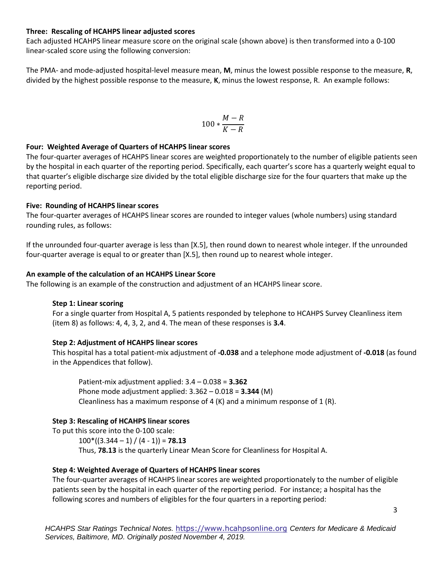#### **Three: Rescaling of HCAHPS linear adjusted scores**

Each adjusted HCAHPS linear measure score on the original scale (shown above) is then transformed into a 0-100 linear-scaled score using the following conversion:

The PMA- and mode-adjusted hospital-level measure mean, **M**, minus the lowest possible response to the measure, **R**, divided by the highest possible response to the measure, **K**, minus the lowest response, R. An example follows:

$$
100*\frac{M-R}{K-R}
$$

#### **Four: Weighted Average of Quarters of HCAHPS linear scores**

The four-quarter averages of HCAHPS linear scores are weighted proportionately to the number of eligible patients seen by the hospital in each quarter of the reporting period. Specifically, each quarter's score has a quarterly weight equal to that quarter's eligible discharge size divided by the total eligible discharge size for the four quarters that make up the reporting period.

#### **Five: Rounding of HCAHPS linear scores**

The four-quarter averages of HCAHPS linear scores are rounded to integer values (whole numbers) using standard rounding rules, as follows:

If the unrounded four-quarter average is less than [X.5], then round down to nearest whole integer. If the unrounded four-quarter average is equal to or greater than [X.5], then round up to nearest whole integer.

#### **An example of the calculation of an HCAHPS Linear Score**

The following is an example of the construction and adjustment of an HCAHPS linear score.

#### **Step 1: Linear scoring**

For a single quarter from Hospital A, 5 patients responded by telephone to HCAHPS Survey Cleanliness item (item 8) as follows: 4, 4, 3, 2, and 4. The mean of these responses is **3.4**.

#### **Step 2: Adjustment of HCAHPS linear scores**

This hospital has a total patient-mix adjustment of **-0.038** and a telephone mode adjustment of **-0.018** (as found in the Appendices that follow).

Patient-mix adjustment applied: 3.4 – 0.038 = **3.362** Phone mode adjustment applied: 3.362 – 0.018 = **3.344** (M) Cleanliness has a maximum response of 4 (K) and a minimum response of 1 (R).

#### **Step 3: Rescaling of HCAHPS linear scores**

To put this score into the 0-100 scale:

 $100*(3.344 - 1) / (4 - 1)$  = **78.13** Thus, **78.13** is the quarterly Linear Mean Score for Cleanliness for Hospital A.

#### **Step 4: Weighted Average of Quarters of HCAHPS linear scores**

The four-quarter averages of HCAHPS linear scores are weighted proportionately to the number of eligible patients seen by the hospital in each quarter of the reporting period. For instance; a hospital has the following scores and numbers of eligibles for the four quarters in a reporting period: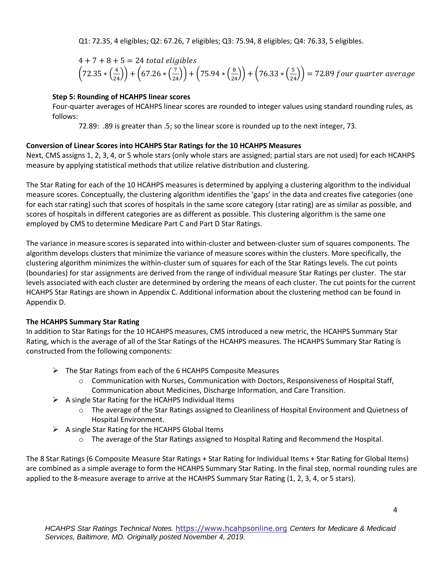Q1: 72.35, 4 eligibles; Q2: 67.26, 7 eligibles; Q3: 75.94, 8 eligibles; Q4: 76.33, 5 eligibles.

$$
4 + 7 + 8 + 5 = 24
$$
 total eligibles  
 $(72.35 * (\frac{4}{24})) + (67.26 * (\frac{7}{24})) + (75.94 * (\frac{8}{24})) + (76.33 * (\frac{5}{24})) = 72.89$  four quarter average

## **Step 5: Rounding of HCAHPS linear scores**

Four-quarter averages of HCAHPS linear scores are rounded to integer values using standard rounding rules, as follows:

72.89: .89 is greater than .5; so the linear score is rounded up to the next integer, 73.

## **Conversion of Linear Scores into HCAHPS Star Ratings for the 10 HCAHPS Measures**

Next, CMS assigns 1, 2, 3, 4, or 5 whole stars (only whole stars are assigned; partial stars are not used) for each HCAHPS measure by applying statistical methods that utilize relative distribution and clustering.

The Star Rating for each of the 10 HCAHPS measures is determined by applying a clustering algorithm to the individual measure scores. Conceptually, the clustering algorithm identifies the 'gaps' in the data and creates five categories (one for each star rating) such that scores of hospitals in the same score category (star rating) are as similar as possible, and scores of hospitals in different categories are as different as possible. This clustering algorithm is the same one employed by CMS to determine Medicare Part C and Part D Star Ratings.

The variance in measure scores is separated into within-cluster and between-cluster sum of squares components. The algorithm develops clusters that minimize the variance of measure scores within the clusters. More specifically, the clustering algorithm minimizes the within-cluster sum of squares for each of the Star Ratings levels. The cut points (boundaries) for star assignments are derived from the range of individual measure Star Ratings per cluster. The star levels associated with each cluster are determined by ordering the means of each cluster. The cut points for the current HCAHPS Star Ratings are shown in Appendix C. Additional information about the clustering method can be found in Appendix D.

## **The HCAHPS Summary Star Rating**

In addition to Star Ratings for the 10 HCAHPS measures, CMS introduced a new metric, the HCAHPS Summary Star Rating, which is the average of all of the Star Ratings of the HCAHPS measures. The HCAHPS Summary Star Rating is constructed from the following components:

- ➢ The Star Ratings from each of the 6 HCAHPS Composite Measures
	- o Communication with Nurses, Communication with Doctors, Responsiveness of Hospital Staff, Communication about Medicines, Discharge Information, and Care Transition.
- $\triangleright$  A single Star Rating for the HCAHPS Individual Items
	- $\circ$  The average of the Star Ratings assigned to Cleanliness of Hospital Environment and Quietness of Hospital Environment.
- $\triangleright$  A single Star Rating for the HCAHPS Global Items
	- o The average of the Star Ratings assigned to Hospital Rating and Recommend the Hospital.

The 8 Star Ratings (6 Composite Measure Star Ratings + Star Rating for Individual Items + Star Rating for Global Items) are combined as a simple average to form the HCAHPS Summary Star Rating. In the final step, normal rounding rules are applied to the 8-measure average to arrive at the HCAHPS Summary Star Rating (1, 2, 3, 4, or 5 stars).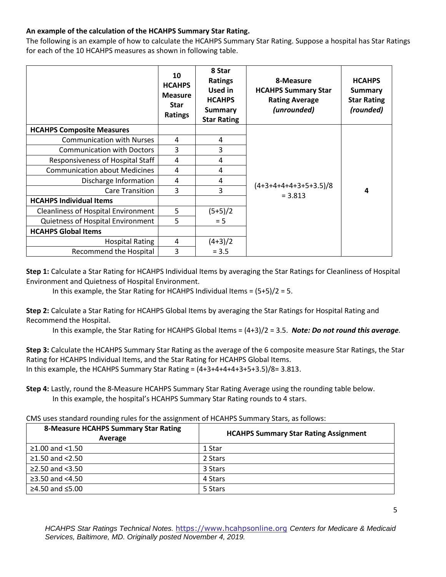## **An example of the calculation of the HCAHPS Summary Star Rating.**

The following is an example of how to calculate the HCAHPS Summary Star Rating. Suppose a hospital has Star Ratings for each of the 10 HCAHPS measures as shown in following table.

|                                            | 10<br><b>HCAHPS</b><br><b>Measure</b><br><b>Star</b><br><b>Ratings</b> | 8 Star<br><b>Ratings</b><br>Used in<br><b>HCAHPS</b><br><b>Summary</b><br><b>Star Rating</b> | 8-Measure<br><b>HCAHPS Summary Star</b><br><b>Rating Average</b><br>(unrounded) | <b>HCAHPS</b><br>Summary<br><b>Star Rating</b><br>(rounded) |
|--------------------------------------------|------------------------------------------------------------------------|----------------------------------------------------------------------------------------------|---------------------------------------------------------------------------------|-------------------------------------------------------------|
| <b>HCAHPS Composite Measures</b>           |                                                                        |                                                                                              |                                                                                 |                                                             |
| <b>Communication with Nurses</b>           | 4                                                                      | 4                                                                                            |                                                                                 |                                                             |
| <b>Communication with Doctors</b>          | 3                                                                      | 3                                                                                            |                                                                                 |                                                             |
| Responsiveness of Hospital Staff           | 4                                                                      | 4                                                                                            |                                                                                 |                                                             |
| <b>Communication about Medicines</b>       | 4                                                                      | 4                                                                                            |                                                                                 |                                                             |
| Discharge Information                      | 4                                                                      | 4                                                                                            |                                                                                 |                                                             |
| <b>Care Transition</b>                     | 3                                                                      | 3                                                                                            | $(4+3+4+4+4+3+5+3.5)/8$<br>$= 3.813$                                            | 4                                                           |
| <b>HCAHPS Individual Items</b>             |                                                                        |                                                                                              |                                                                                 |                                                             |
| <b>Cleanliness of Hospital Environment</b> | 5                                                                      | $(5+5)/2$                                                                                    |                                                                                 |                                                             |
| Quietness of Hospital Environment          | 5                                                                      | $= 5$                                                                                        |                                                                                 |                                                             |
| <b>HCAHPS Global Items</b>                 |                                                                        |                                                                                              |                                                                                 |                                                             |
| <b>Hospital Rating</b>                     | 4                                                                      | $(4+3)/2$                                                                                    |                                                                                 |                                                             |
| Recommend the Hospital                     | 3                                                                      | $= 3.5$                                                                                      |                                                                                 |                                                             |

**Step 1:** Calculate a Star Rating for HCAHPS Individual Items by averaging the Star Ratings for Cleanliness of Hospital Environment and Quietness of Hospital Environment.

In this example, the Star Rating for HCAHPS Individual Items = (5+5)/2 = 5.

**Step 2:** Calculate a Star Rating for HCAHPS Global Items by averaging the Star Ratings for Hospital Rating and Recommend the Hospital.

In this example, the Star Rating for HCAHPS Global Items = (4+3)/2 = 3.5. *Note: Do not round this average.*

**Step 3:** Calculate the HCAHPS Summary Star Rating as the average of the 6 composite measure Star Ratings, the Star Rating for HCAHPS Individual Items, and the Star Rating for HCAHPS Global Items. In this example, the HCAHPS Summary Star Rating =  $(4+3+4+4+3+5+3.5)/8=3.813$ .

**Step 4:** Lastly, round the 8-Measure HCAHPS Summary Star Rating Average using the rounding table below. In this example, the hospital's HCAHPS Summary Star Rating rounds to 4 stars.

CMS uses standard rounding rules for the assignment of HCAHPS Summary Stars, as follows:

| <b>8-Measure HCAHPS Summary Star Rating</b><br>Average | <b>HCAHPS Summary Star Rating Assignment</b> |
|--------------------------------------------------------|----------------------------------------------|
| $≥1.00$ and <1.50                                      | 1 Star                                       |
| $≥1.50$ and $<2.50$                                    | 2 Stars                                      |
| ≥2.50 and $<3.50$                                      | 3 Stars                                      |
| ≥3.50 and $<4.50$                                      | 4 Stars                                      |
| ≥4.50 and $≤5.00$                                      | 5 Stars                                      |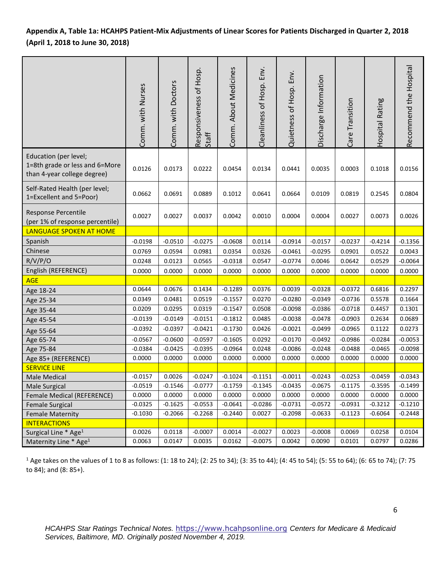## **Appendix A, Table 1a: HCAHPS Patient-Mix Adjustments of Linear Scores for Patients Discharged in Quarter 2, 2018 (April 1, 2018 to June 30, 2018)**

|                                                                                        | Comm. with Nurses | Comm. with Doctors | Responsiveness of Hosp.<br>Staff | Comm. About Medicines | Cleanliness of Hosp. Env | Env.<br>Quietness of Hosp. | Discharge Information | Care Transition | Hospital Rating | Recommend the Hospital |
|----------------------------------------------------------------------------------------|-------------------|--------------------|----------------------------------|-----------------------|--------------------------|----------------------------|-----------------------|-----------------|-----------------|------------------------|
| Education (per level;<br>1=8th grade or less and 6=More<br>than 4-year college degree) | 0.0126            | 0.0173             | 0.0222                           | 0.0454                | 0.0134                   | 0.0441                     | 0.0035                | 0.0003          | 0.1018          | 0.0156                 |
| Self-Rated Health (per level;<br>1=Excellent and 5=Poor)                               | 0.0662            | 0.0691             | 0.0889                           | 0.1012                | 0.0641                   | 0.0664                     | 0.0109                | 0.0819          | 0.2545          | 0.0804                 |
| Response Percentile<br>(per 1% of response percentile)                                 | 0.0027            | 0.0027             | 0.0037                           | 0.0042                | 0.0010                   | 0.0004                     | 0.0004                | 0.0027          | 0.0073          | 0.0026                 |
| LANGUAGE SPOKEN AT HOME                                                                |                   |                    |                                  |                       |                          |                            |                       |                 |                 |                        |
| Spanish                                                                                | $-0.0198$         | $-0.0510$          | $-0.0275$                        | $-0.0608$             | 0.0114                   | $-0.0914$                  | $-0.0157$             | $-0.0237$       | $-0.4214$       | $-0.1356$              |
| Chinese                                                                                | 0.0769            | 0.0594             | 0.0981                           | 0.0354                | 0.0326                   | $-0.0461$                  | $-0.0295$             | 0.0901          | 0.0522          | 0.0043                 |
| R/V/P/O                                                                                | 0.0248            | 0.0123             | 0.0565                           | $-0.0318$             | 0.0547                   | $-0.0774$                  | 0.0046                | 0.0642          | 0.0529          | $-0.0064$              |
| English (REFERENCE)                                                                    | 0.0000            | 0.0000             | 0.0000                           | 0.0000                | 0.0000                   | 0.0000                     | 0.0000                | 0.0000          | 0.0000          | 0.0000                 |
| <b>AGE</b>                                                                             |                   |                    |                                  |                       |                          |                            |                       |                 |                 |                        |
| Age 18-24                                                                              | 0.0644            | 0.0676             | 0.1434                           | $-0.1289$             | 0.0376                   | 0.0039                     | $-0.0328$             | $-0.0372$       | 0.6816          | 0.2297                 |
| Age 25-34                                                                              | 0.0349            | 0.0481             | 0.0519                           | $-0.1557$             | 0.0270                   | $-0.0280$                  | $-0.0349$             | $-0.0736$       | 0.5578          | 0.1664                 |
| Age 35-44                                                                              | 0.0209            | 0.0295             | 0.0319                           | $-0.1547$             | 0.0508                   | $-0.0098$                  | $-0.0386$             | $-0.0718$       | 0.4457          | 0.1301                 |
| Age 45-54                                                                              | $-0.0139$         | $-0.0149$          | $-0.0151$                        | $-0.1812$             | 0.0485                   | $-0.0038$                  | $-0.0478$             | $-0.0903$       | 0.2634          | 0.0689                 |
| Age 55-64                                                                              | $-0.0392$         | $-0.0397$          | $-0.0421$                        | $-0.1730$             | 0.0426                   | $-0.0021$                  | $-0.0499$             | $-0.0965$       | 0.1122          | 0.0273                 |
| Age 65-74                                                                              | $-0.0567$         | $-0.0600$          | $-0.0597$                        | $-0.1605$             | 0.0292                   | $-0.0170$                  | $-0.0492$             | $-0.0986$       | $-0.0284$       | $-0.0053$              |
| Age 75-84                                                                              | $-0.0384$         | $-0.0425$          | $-0.0395$                        | $-0.0964$             | 0.0248                   | $-0.0086$                  | $-0.0248$             | $-0.0488$       | $-0.0465$       | $-0.0098$              |
| Age 85+ (REFERENCE)                                                                    | 0.0000            | 0.0000             | 0.0000                           | 0.0000                | 0.0000                   | 0.0000                     | 0.0000                | 0.0000          | 0.0000          | 0.0000                 |
| <b>SERVICE LINE</b>                                                                    |                   |                    |                                  |                       |                          |                            |                       |                 |                 |                        |
| Male Medical                                                                           | $-0.0157$         | 0.0026             | $-0.0247$                        | $-0.1024$             | $-0.1151$                | $-0.0011$                  | $-0.0243$             | $-0.0253$       | $-0.0459$       | $-0.0343$              |
| <b>Male Surgical</b>                                                                   | $-0.0519$         | $-0.1546$          | $-0.0777$                        | $-0.1759$             | $-0.1345$                | $-0.0435$                  | $-0.0675$             | $-0.1175$       | $-0.3595$       | $-0.1499$              |
| Female Medical (REFERENCE)                                                             | 0.0000            | 0.0000             | 0.0000                           | 0.0000                | 0.0000                   | 0.0000                     | 0.0000                | 0.0000          | 0.0000          | 0.0000                 |
| <b>Female Surgical</b>                                                                 | $-0.0325$         | $-0.1625$          | $-0.0553$                        | $-0.0641$             | $-0.0286$                | $-0.0731$                  | $-0.0572$             | $-0.0931$       | $-0.3212$       | $-0.1210$              |
| <b>Female Maternity</b>                                                                | $-0.1030$         | $-0.2066$          | $-0.2268$                        | $-0.2440$             | 0.0027                   | $-0.2098$                  | $-0.0633$             | $-0.1123$       | $-0.6064$       | $-0.2448$              |
| <b>INTERACTIONS</b>                                                                    |                   |                    |                                  |                       |                          |                            |                       |                 |                 |                        |
| Surgical Line * Age <sup>1</sup>                                                       | 0.0026            | 0.0118             | $-0.0007$                        | 0.0014                | $-0.0027$                | 0.0023                     | $-0.0008$             | 0.0069          | 0.0258          | 0.0104                 |
| Maternity Line * Age <sup>1</sup>                                                      | 0.0063            | 0.0147             | 0.0035                           | 0.0162                | $-0.0075$                | 0.0042                     | 0.0090                | 0.0101          | 0.0797          | 0.0286                 |

<sup>1</sup> Age takes on the values of 1 to 8 as follows: (1: 18 to 24); (2: 25 to 34); (3: 35 to 44); (4: 45 to 54); (5: 55 to 64); (6: 65 to 74); (7: 75 to 84); and (8: 85+).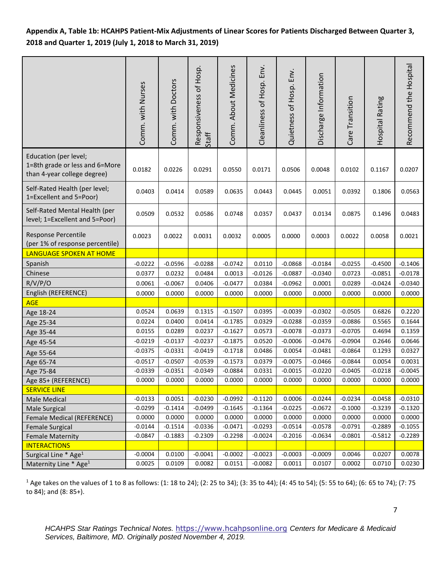**Appendix A, Table 1b: HCAHPS Patient-Mix Adjustments of Linear Scores for Patients Discharged Between Quarter 3, 2018 and Quarter 1, 2019 (July 1, 2018 to March 31, 2019)** 

|                                                                                        | Comm. with Nurses | Comm. with Doctors | Responsiveness of Hosp.<br>Staff | Comm. About Medicines | Cleanliness of Hosp. Env. | Quietness of Hosp. Env. | Discharge Information | Care Transition | Hospital Rating | Recommend the Hospital |
|----------------------------------------------------------------------------------------|-------------------|--------------------|----------------------------------|-----------------------|---------------------------|-------------------------|-----------------------|-----------------|-----------------|------------------------|
| Education (per level;<br>1=8th grade or less and 6=More<br>than 4-year college degree) | 0.0182            | 0.0226             | 0.0291                           | 0.0550                | 0.0171                    | 0.0506                  | 0.0048                | 0.0102          | 0.1167          | 0.0207                 |
| Self-Rated Health (per level;<br>1=Excellent and 5=Poor)                               | 0.0403            | 0.0414             | 0.0589                           | 0.0635                | 0.0443                    | 0.0445                  | 0.0051                | 0.0392          | 0.1806          | 0.0563                 |
| Self-Rated Mental Health (per<br>level; 1=Excellent and 5=Poor)                        | 0.0509            | 0.0532             | 0.0586                           | 0.0748                | 0.0357                    | 0.0437                  | 0.0134                | 0.0875          | 0.1496          | 0.0483                 |
| Response Percentile<br>(per 1% of response percentile)                                 | 0.0023            | 0.0022             | 0.0031                           | 0.0032                | 0.0005                    | 0.0000                  | 0.0003                | 0.0022          | 0.0058          | 0.0021                 |
| LANGUAGE SPOKEN AT HOME                                                                |                   |                    |                                  |                       |                           |                         |                       |                 |                 |                        |
| Spanish                                                                                | $-0.0222$         | $-0.0596$          | $-0.0288$                        | $-0.0742$             | 0.0110                    | $-0.0868$               | $-0.0184$             | $-0.0255$       | $-0.4500$       | $-0.1406$              |
| Chinese                                                                                | 0.0377            | 0.0232             | 0.0484                           | 0.0013                | $-0.0126$                 | $-0.0887$               | $-0.0340$             | 0.0723          | $-0.0851$       | $-0.0178$              |
| R/V/P/O                                                                                | 0.0061            | $-0.0067$          | 0.0406                           | $-0.0477$             | 0.0384                    | $-0.0962$               | 0.0001                | 0.0289          | $-0.0424$       | $-0.0340$              |
| English (REFERENCE)                                                                    | 0.0000            | 0.0000             | 0.0000                           | 0.0000                | 0.0000                    | 0.0000                  | 0.0000                | 0.0000          | 0.0000          | 0.0000                 |
| <b>AGE</b>                                                                             |                   |                    |                                  |                       |                           |                         |                       |                 |                 |                        |
| Age 18-24                                                                              | 0.0524            | 0.0639             | 0.1315                           | $-0.1507$             | 0.0395                    | $-0.0039$               | $-0.0302$             | $-0.0505$       | 0.6826          | 0.2220                 |
| Age 25-34                                                                              | 0.0224            | 0.0400             | 0.0414                           | $-0.1785$             | 0.0329                    | $-0.0288$               | $-0.0359$             | $-0.0886$       | 0.5565          | 0.1644                 |
| Age 35-44                                                                              | 0.0155            | 0.0289             | 0.0237                           | $-0.1627$             | 0.0573                    | $-0.0078$               | $-0.0373$             | $-0.0705$       | 0.4694          | 0.1359                 |
| Age 45-54                                                                              | $-0.0219$         | $-0.0137$          | $-0.0237$                        | $-0.1875$             | 0.0520                    | $-0.0006$               | $-0.0476$             | $-0.0904$       | 0.2646          | 0.0646                 |
| Age 55-64                                                                              | $-0.0375$         | $-0.0331$          | $-0.0419$                        | $-0.1718$             | 0.0486                    | 0.0054                  | $-0.0481$             | $-0.0864$       | 0.1293          | 0.0327                 |
| Age 65-74                                                                              | $-0.0517$         | $-0.0507$          | $-0.0539$                        | $-0.1573$             | 0.0379                    | $-0.0075$               | $-0.0466$             | $-0.0844$       | 0.0054          | 0.0031                 |
| Age 75-84                                                                              | $-0.0339$         | $-0.0351$          | $-0.0349$                        | $-0.0884$             | 0.0331                    | $-0.0015$               | $-0.0220$             | $-0.0405$       | $-0.0218$       | $-0.0045$              |
| Age 85+ (REFERENCE)                                                                    | 0.0000            | 0.0000             | 0.0000                           | 0.0000                | 0.0000                    | 0.0000                  | 0.0000                | 0.0000          | 0.0000          | 0.0000                 |
| <b>SERVICE LINE</b>                                                                    |                   |                    |                                  |                       |                           |                         |                       |                 |                 |                        |
| Male Medical                                                                           | $-0.0133$         | 0.0051             | $-0.0230$                        | $-0.0992$             | $-0.1120$                 | 0.0006                  | $-0.0244$             | $-0.0234$       | $-0.0458$       | $-0.0310$              |
| Male Surgical                                                                          | $-0.0299$         | $-0.1414$          | $-0.0499$                        | $-0.1645$             | $-0.1364$                 | $-0.0225$               | $-0.0672$             | $-0.1000$       | $-0.3239$       | $-0.1320$              |
| Female Medical (REFERENCE)                                                             | 0.0000            | 0.0000             | 0.0000                           | 0.0000                | 0.0000                    | 0.0000                  | 0.0000                | 0.0000          | 0.0000          | 0.0000                 |
| <b>Female Surgical</b>                                                                 | $-0.0144$         | $-0.1514$          | $-0.0336$                        | $-0.0471$             | $-0.0293$                 | $-0.0514$               | $-0.0578$             | $-0.0791$       | $-0.2889$       | $-0.1055$              |
| <b>Female Maternity</b>                                                                | $-0.0847$         | $-0.1883$          | $-0.2309$                        | $-0.2298$             | $-0.0024$                 | $-0.2016$               | $-0.0634$             | $-0.0801$       | $-0.5812$       | $-0.2289$              |
| <b>INTERACTIONS</b>                                                                    |                   |                    |                                  |                       |                           |                         |                       |                 |                 |                        |
| Surgical Line * Age <sup>1</sup>                                                       | $-0.0004$         | 0.0100             | $-0.0041$                        | $-0.0002$             | $-0.0023$                 | $-0.0003$               | $-0.0009$             | 0.0046          | 0.0207          | 0.0078                 |
| Maternity Line * Age <sup>1</sup>                                                      | 0.0025            | 0.0109             | 0.0082                           | 0.0151                | $-0.0082$                 | 0.0011                  | 0.0107                | 0.0002          | 0.0710          | 0.0230                 |

<sup>1</sup> Age takes on the values of 1 to 8 as follows: (1: 18 to 24); (2: 25 to 34); (3: 35 to 44); (4: 45 to 54); (5: 55 to 64); (6: 65 to 74); (7: 75 to 84); and (8: 85+).

*HCAHPS Star Ratings Technical Notes.* [https://www.hcahpsonline.org](https://www.hcahpsonline.org/) *Centers for Medicare & Medicaid Services, Baltimore, MD. Originally posted November 4, 2019.*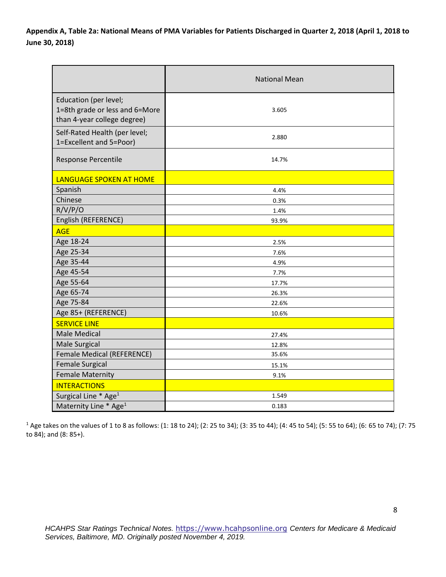**Appendix A, Table 2a: National Means of PMA Variables for Patients Discharged in Quarter 2, 2018 (April 1, 2018 to June 30, 2018)**

|                                                                                        | <b>National Mean</b> |
|----------------------------------------------------------------------------------------|----------------------|
| Education (per level;<br>1=8th grade or less and 6=More<br>than 4-year college degree) | 3.605                |
| Self-Rated Health (per level;<br>1=Excellent and 5=Poor)                               | 2.880                |
| Response Percentile                                                                    | 14.7%                |
| <b>LANGUAGE SPOKEN AT HOME</b>                                                         |                      |
| Spanish                                                                                | 4.4%                 |
| Chinese                                                                                | 0.3%                 |
| R/V/P/O                                                                                | 1.4%                 |
| English (REFERENCE)                                                                    | 93.9%                |
| <b>AGE</b>                                                                             |                      |
| Age 18-24                                                                              | 2.5%                 |
| Age 25-34                                                                              | 7.6%                 |
| Age 35-44                                                                              | 4.9%                 |
| Age 45-54                                                                              | 7.7%                 |
| Age 55-64                                                                              | 17.7%                |
| Age 65-74                                                                              | 26.3%                |
| Age 75-84                                                                              | 22.6%                |
| Age 85+ (REFERENCE)                                                                    | 10.6%                |
| <b>SERVICE LINE</b>                                                                    |                      |
| <b>Male Medical</b>                                                                    | 27.4%                |
| Male Surgical                                                                          | 12.8%                |
| Female Medical (REFERENCE)                                                             | 35.6%                |
| <b>Female Surgical</b>                                                                 | 15.1%                |
| <b>Female Maternity</b>                                                                | 9.1%                 |
| <b>INTERACTIONS</b>                                                                    |                      |
| Surgical Line * Age <sup>1</sup>                                                       | 1.549                |
| Maternity Line * Age <sup>1</sup>                                                      | 0.183                |

<sup>1</sup> Age takes on the values of 1 to 8 as follows: (1: 18 to 24); (2: 25 to 34); (3: 35 to 44); (4: 45 to 54); (5: 55 to 64); (6: 65 to 74); (7: 75 to 84); and (8: 85+).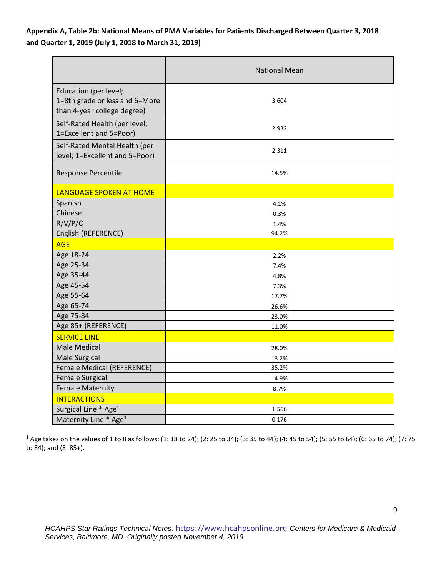## **Appendix A, Table 2b: National Means of PMA Variables for Patients Discharged Between Quarter 3, 2018 and Quarter 1, 2019 (July 1, 2018 to March 31, 2019)**

|                                                                                        | <b>National Mean</b> |
|----------------------------------------------------------------------------------------|----------------------|
| Education (per level;<br>1=8th grade or less and 6=More<br>than 4-year college degree) | 3.604                |
| Self-Rated Health (per level;<br>1=Excellent and 5=Poor)                               | 2.932                |
| Self-Rated Mental Health (per<br>level; 1=Excellent and 5=Poor)                        | 2.311                |
| Response Percentile                                                                    | 14.5%                |
| <b>LANGUAGE SPOKEN AT HOME</b>                                                         |                      |
| Spanish                                                                                | 4.1%                 |
| Chinese                                                                                | 0.3%                 |
| R/V/P/O                                                                                | 1.4%                 |
| English (REFERENCE)                                                                    | 94.2%                |
| <b>AGE</b>                                                                             |                      |
| Age 18-24                                                                              | 2.2%                 |
| Age 25-34                                                                              | 7.4%                 |
| Age 35-44                                                                              | 4.8%                 |
| Age 45-54                                                                              | 7.3%                 |
| Age 55-64                                                                              | 17.7%                |
| Age 65-74                                                                              | 26.6%                |
| Age 75-84                                                                              | 23.0%                |
| Age 85+ (REFERENCE)                                                                    | 11.0%                |
| <b>SERVICE LINE</b>                                                                    |                      |
| <b>Male Medical</b>                                                                    | 28.0%                |
| <b>Male Surgical</b>                                                                   | 13.2%                |
| Female Medical (REFERENCE)                                                             | 35.2%                |
| <b>Female Surgical</b>                                                                 | 14.9%                |
| <b>Female Maternity</b>                                                                | 8.7%                 |
| <b>INTERACTIONS</b>                                                                    |                      |
| Surgical Line * Age <sup>1</sup>                                                       | 1.566                |
| Maternity Line * Age <sup>1</sup>                                                      | 0.176                |

<sup>1</sup> Age takes on the values of 1 to 8 as follows: (1: 18 to 24); (2: 25 to 34); (3: 35 to 44); (4: 45 to 54); (5: 55 to 64); (6: 65 to 74); (7: 75 to 84); and (8: 85+).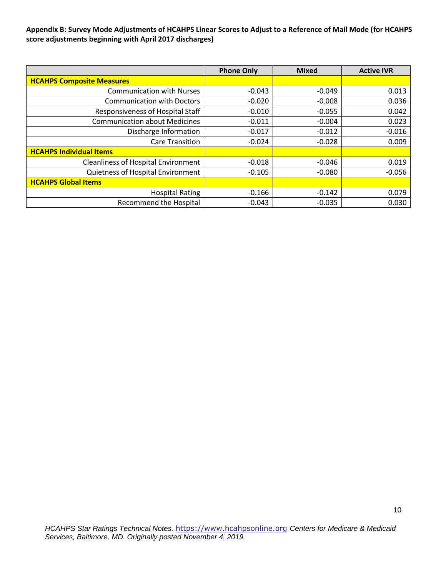#### **Appendix B: Survey Mode Adjustments of HCAHPS Linear Scores to Adjust to a Reference of Mail Mode (for HCAHPS score adjustments beginning with April 2017 discharges)**

|                                            | <b>Phone Only</b> | <b>Mixed</b> | <b>Active IVR</b> |
|--------------------------------------------|-------------------|--------------|-------------------|
| <b>HCAHPS Composite Measures</b>           |                   |              |                   |
| <b>Communication with Nurses</b>           | $-0.043$          | $-0.049$     | 0.013             |
| <b>Communication with Doctors</b>          | $-0.020$          | $-0.008$     | 0.036             |
| Responsiveness of Hospital Staff           | $-0.010$          | $-0.055$     | 0.042             |
| <b>Communication about Medicines</b>       | $-0.011$          | $-0.004$     | 0.023             |
| Discharge Information                      | $-0.017$          | $-0.012$     | $-0.016$          |
| <b>Care Transition</b>                     | $-0.024$          | $-0.028$     | 0.009             |
| <b>HCAHPS Individual Items</b>             |                   |              |                   |
| <b>Cleanliness of Hospital Environment</b> | $-0.018$          | $-0.046$     | 0.019             |
| Quietness of Hospital Environment          | $-0.105$          | $-0.080$     | $-0.056$          |
| <b>HCAHPS Global Items</b>                 |                   |              |                   |
| <b>Hospital Rating</b>                     | $-0.166$          | $-0.142$     | 0.079             |
| <b>Recommend the Hospital</b>              | $-0.043$          | $-0.035$     | 0.030             |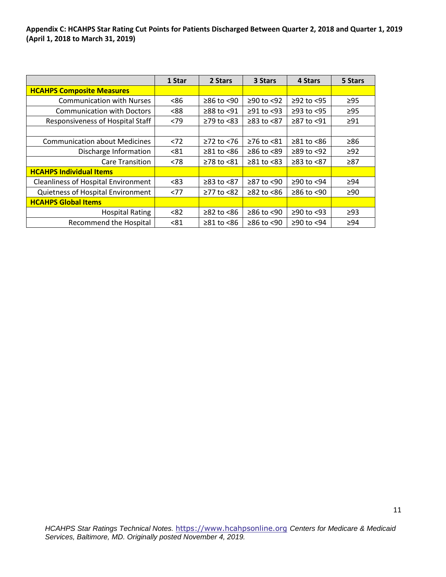**Appendix C: HCAHPS Star Rating Cut Points for Patients Discharged Between Quarter 2, 2018 and Quarter 1, 2019 (April 1, 2018 to March 31, 2019)**

|                                            | 1 Star | 2 Stars          | 3 Stars          | 4 Stars          | 5 Stars   |
|--------------------------------------------|--------|------------------|------------------|------------------|-----------|
| <b>HCAHPS Composite Measures</b>           |        |                  |                  |                  |           |
| <b>Communication with Nurses</b>           | <86    | $≥86$ to $≤90$   | $≥90$ to <92     | $≥92$ to <95     | $\geq$ 95 |
| <b>Communication with Doctors</b>          | < 88   | ≥88 to <91       | $\geq$ 91 to <93 | $≥93$ to $<95$   | $\geq$ 95 |
| Responsiveness of Hospital Staff           | <79    | $\geq$ 79 to <83 | $≥83$ to $<87$   | ≥87 to <91       | $\geq$ 91 |
|                                            |        |                  |                  |                  |           |
| <b>Communication about Medicines</b>       | < 72   | $≥72$ to <76     | $\geq$ 76 to <81 | $\geq 81$ to <86 | ≥86       |
| Discharge Information                      | < 81   | $\geq 81$ to <86 | $≥86$ to <89     | $\geq$ 89 to <92 | $\geq$ 92 |
| <b>Care Transition</b>                     | < 78   | $≥78$ to $≤81$   | $\geq 81$ to <83 | $≥83$ to $<87$   | $\geq 87$ |
| <b>HCAHPS Individual Items</b>             |        |                  |                  |                  |           |
| <b>Cleanliness of Hospital Environment</b> | < 83   | ≥83 to <87       | ≥87 to <90       | ≥90 to <94       | ≥94       |
| Quietness of Hospital Environment          | <77    | ≥77 to <82       | $\geq$ 82 to <86 | $\geq$ 86 to <90 | ≥90       |
| <b>HCAHPS Global Items</b>                 |        |                  |                  |                  |           |
| <b>Hospital Rating</b>                     | < 82   | $\geq$ 82 to <86 | $≥86$ to <90     | $≥90$ to <93     | $\geq$ 93 |
| <b>Recommend the Hospital</b>              | < 81   | $\geq$ 81 to <86 | $≥86$ to <90     | ≥90 to <94       | $\geq$ 94 |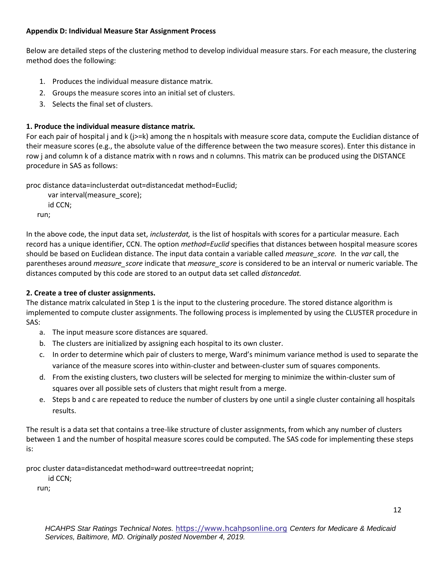### **Appendix D: Individual Measure Star Assignment Process**

Below are detailed steps of the clustering method to develop individual measure stars. For each measure, the clustering method does the following:

- 1. Produces the individual measure distance matrix.
- 2. Groups the measure scores into an initial set of clusters.
- 3. Selects the final set of clusters.

## **1. Produce the individual measure distance matrix.**

For each pair of hospital j and k (j>=k) among the n hospitals with measure score data, compute the Euclidian distance of their measure scores (e.g., the absolute value of the difference between the two measure scores). Enter this distance in row j and column k of a distance matrix with n rows and n columns. This matrix can be produced using the DISTANCE procedure in SAS as follows:

proc distance data=inclusterdat out=distancedat method=Euclid;

var interval(measure\_score); id CCN; run;

In the above code, the input data set, *inclusterdat,* is the list of hospitals with scores for a particular measure. Each record has a unique identifier, CCN. The option *method=Euclid* specifies that distances between hospital measure scores should be based on Euclidean distance. The input data contain a variable called *measure\_score.* In the *var* call, the parentheses around *measure\_score* indicate that *measure\_score* is considered to be an interval or numeric variable. The distances computed by this code are stored to an output data set called *distancedat.*

## **2. Create a tree of cluster assignments.**

The distance matrix calculated in Step 1 is the input to the clustering procedure. The stored distance algorithm is implemented to compute cluster assignments. The following process is implemented by using the CLUSTER procedure in SAS:

- a. The input measure score distances are squared.
- b. The clusters are initialized by assigning each hospital to its own cluster.
- c. In order to determine which pair of clusters to merge, Ward's minimum variance method is used to separate the variance of the measure scores into within-cluster and between-cluster sum of squares components.
- d. From the existing clusters, two clusters will be selected for merging to minimize the within-cluster sum of squares over all possible sets of clusters that might result from a merge.
- e. Steps b and c are repeated to reduce the number of clusters by one until a single cluster containing all hospitals results.

The result is a data set that contains a tree-like structure of cluster assignments, from which any number of clusters between 1 and the number of hospital measure scores could be computed. The SAS code for implementing these steps is:

proc cluster data=distancedat method=ward outtree=treedat noprint;

id CCN;

run;